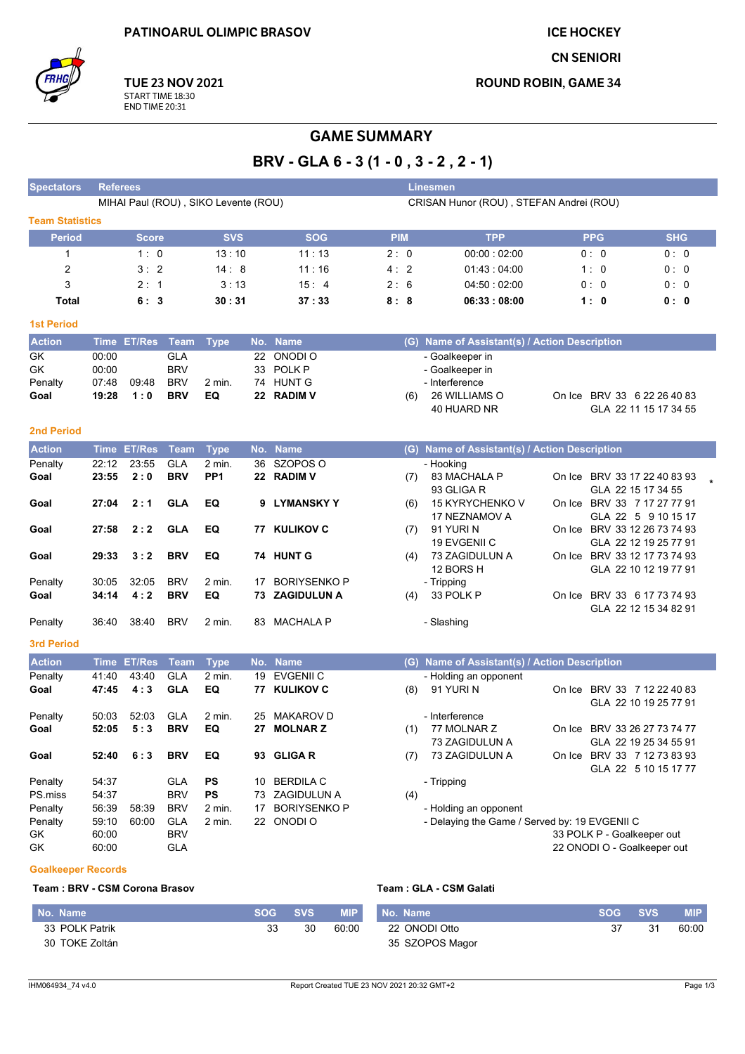**ICE HOCKEY** 

**CN SENIORI** 

**ROUND ROBIN, GAME 34** 



## **GAME SUMMARY**

BRV - GLA 6 - 3 (1 - 0, 3 - 2, 2 - 1)

| <b>Spectators</b>      | <b>Referees</b>                                                                 |                  |             |                 |    |                     |            | <b>Linesmen</b>                               |     |                             |                                                      |
|------------------------|---------------------------------------------------------------------------------|------------------|-------------|-----------------|----|---------------------|------------|-----------------------------------------------|-----|-----------------------------|------------------------------------------------------|
|                        | CRISAN Hunor (ROU), STEFAN Andrei (ROU)<br>MIHAI Paul (ROU), SIKO Levente (ROU) |                  |             |                 |    |                     |            |                                               |     |                             |                                                      |
| <b>Team Statistics</b> |                                                                                 |                  |             |                 |    |                     |            |                                               |     |                             |                                                      |
| <b>Period</b>          |                                                                                 | <b>Score</b>     |             | <b>SVS</b>      |    | <b>SOG</b>          | <b>PIM</b> | <b>TPP</b>                                    |     | <b>PPG</b>                  | <b>SHG</b>                                           |
| $\mathbf{1}$           |                                                                                 | 1:0              |             | 13:10           |    | 11:13               | 2:0        | 00:00:02:00                                   | 0:0 |                             | 0:0                                                  |
| $\overline{2}$         |                                                                                 | 3:2              |             | 14:8            |    | 11:16               | 4:2        | 01:43:04:00                                   | 1:0 |                             | 0:0                                                  |
| 3                      |                                                                                 | 2:1              |             | 3:13            |    | 15:4                | 2:6        | 04 50 02:00                                   |     | 0:0                         | 0:0                                                  |
| Total                  |                                                                                 | 6: 3             |             | 30 : 31         |    | 37:33               | 8:8        | 06:33:08:00                                   |     | 1:0                         | 0: 0                                                 |
| <b>1st Period</b>      |                                                                                 |                  |             |                 |    |                     |            |                                               |     |                             |                                                      |
| <b>Action</b>          |                                                                                 | Time ET/Res Team |             | <b>Type</b>     |    | No. Name            |            | (G) Name of Assistant(s) / Action Description |     |                             |                                                      |
| GK                     | 00:00                                                                           |                  | <b>GLA</b>  |                 |    | 22 ONODI O          |            | - Goalkeeper in                               |     |                             |                                                      |
| GK                     | 00:00                                                                           |                  | <b>BRV</b>  |                 | 33 | POLK <sub>P</sub>   |            | - Goalkeeper in                               |     |                             |                                                      |
| Penalty                | 07:48                                                                           | 09:48            | <b>BRV</b>  | 2 min.          |    | 74 HUNT G           |            | - Interference                                |     |                             |                                                      |
| Goal                   | 19:28                                                                           | 1:0              | <b>BRV</b>  | EQ              |    | 22 RADIM V          | (6)        | 26 WILLIAMS O                                 |     |                             | On Ice BRV 33 6 22 26 40 83                          |
|                        |                                                                                 |                  |             |                 |    |                     |            | 40 HUARD NR                                   |     |                             | GLA 22 11 15 17 34 55                                |
| <b>2nd Period</b>      |                                                                                 |                  |             |                 |    |                     |            |                                               |     |                             |                                                      |
| <b>Action</b>          | <b>Time</b>                                                                     | <b>ET/Res</b>    | <b>Team</b> | <b>Type</b>     |    | No. Name            |            | (G) Name of Assistant(s) / Action Description |     |                             |                                                      |
| Penalty                | 22:12                                                                           | 23:55            | <b>GLA</b>  | 2 min.          | 36 | SZOPOS O            |            | - Hooking                                     |     |                             |                                                      |
| Goal                   | 23:55                                                                           | 2:0              | <b>BRV</b>  | PP <sub>1</sub> |    | 22 RADIM V          | (7)        | 83 MACHALA P                                  |     |                             | On Ice BRV 33 17 22 40 83 93                         |
|                        |                                                                                 |                  |             |                 |    |                     |            | 93 GLIGA R                                    |     | GLA 22 15 17 34 55          |                                                      |
| Goal                   | 27:04                                                                           | 2:1              | <b>GLA</b>  | EQ              | 9  | <b>LYMANSKY Y</b>   | (6)        | 15 KYRYCHENKO V<br>17 NEZNAMOV A              |     |                             | On Ice BRV 33 7 17 27 77 91<br>GLA 22 5 9 10 15 17   |
| Goal                   | 27:58                                                                           | 2:2              | <b>GLA</b>  | EQ              |    | 77 KULIKOV C        | (7)        | 91 YURIN                                      |     |                             | On Ice BRV 33 12 26 73 74 93                         |
|                        |                                                                                 |                  |             |                 |    |                     |            | 19 EVGENII C                                  |     |                             | GLA 22 12 19 25 77 91                                |
| Goal                   | 29:33                                                                           | 3:2              | <b>BRV</b>  | EQ              |    | 74 HUNT G           | (4)        | 73 ZAGIDULUN A                                |     |                             | On Ice BRV 33 12 17 73 74 93                         |
|                        |                                                                                 |                  |             |                 |    |                     |            | 12 BORS H                                     |     |                             | GLA 22 10 12 19 77 91                                |
| Penalty                | 30:05                                                                           | 32:05            | <b>BRV</b>  | 2 min.          | 17 | <b>BORIYSENKO P</b> |            | - Tripping                                    |     |                             |                                                      |
| Goal                   | 34:14                                                                           | 4:2              | <b>BRV</b>  | EQ              |    | 73 ZAGIDULUN A      | (4)        | 33 POLK P                                     |     |                             | On Ice BRV 33 6 17 73 74 93                          |
|                        |                                                                                 |                  | <b>BRV</b>  |                 |    | MACHALA P           |            |                                               |     |                             | GLA 22 12 15 34 82 91                                |
| Penalty                | 36:40                                                                           | 38:40            |             | 2 min.          | 83 |                     |            | - Slashing                                    |     |                             |                                                      |
| <b>3rd Period</b>      |                                                                                 |                  |             |                 |    |                     |            |                                               |     |                             |                                                      |
| <b>Action</b>          | Time                                                                            | <b>ET/Res</b>    | <b>Team</b> | <b>Type</b>     |    | No. Name            |            | (G) Name of Assistant(s) / Action Description |     |                             |                                                      |
| Penalty                | 41:40                                                                           | 43:40            | <b>GLA</b>  | 2 min.          | 19 | <b>EVGENII C</b>    |            | - Holding an opponent                         |     |                             |                                                      |
| Goal                   | 47:45                                                                           | 4:3              | <b>GLA</b>  | EQ              |    | <b>77 KULIKOV C</b> | (8)        | 91 YURIN                                      |     |                             | On Ice BRV 33 7 12 22 40 83                          |
|                        |                                                                                 |                  |             |                 |    |                     |            |                                               |     |                             | GLA 22 10 19 25 77 91                                |
| Penalty                | 50:03                                                                           | 52:03            | GLA         | 2 min.          | 25 | MAKAROV D           |            | - Interference                                |     |                             |                                                      |
| Goal                   | 52:05                                                                           | 5:3              | <b>BRV</b>  | EQ              |    | 27 MOLNAR Z         | (1)        | 77 MOLNAR Z                                   |     |                             | On Ice BRV 33 26 27 73 74 77                         |
| Goal                   | 52:40                                                                           | 6:3              | <b>BRV</b>  | EQ              |    | 93 GLIGAR           | (7)        | 73 ZAGIDULUN A<br>73 ZAGIDULUN A              |     |                             | GLA 22 19 25 34 55 91<br>On Ice BRV 33 7 12 73 83 93 |
|                        |                                                                                 |                  |             |                 |    |                     |            |                                               |     |                             | GLA 22 5 10 15 17 77                                 |
| Penalty                | 54:37                                                                           |                  | GLA         | PS              | 10 | <b>BERDILA C</b>    |            | - Tripping                                    |     |                             |                                                      |
| PS miss                | 54:37                                                                           |                  | <b>BRV</b>  | PS              | 73 | <b>ZAGIDULUN A</b>  | (4)        |                                               |     |                             |                                                      |
| Penalty                | 56:39                                                                           | 58:39            | <b>BRV</b>  | 2 min.          | 17 | <b>BORIYSENKO P</b> |            | - Holding an opponent                         |     |                             |                                                      |
| Penalty                | 59:10                                                                           | 60:00            | <b>GLA</b>  | 2 min.          |    | 22 ONODI O          |            | - Delaying the Game / Served by: 19 EVGENII C |     |                             |                                                      |
| GK                     | 60:00                                                                           |                  | <b>BRV</b>  |                 |    |                     |            |                                               |     | 33 POLK P - Goalkeeper out  |                                                      |
| GK                     | 60:00                                                                           |                  | <b>GLA</b>  |                 |    |                     |            |                                               |     | 22 ONODI O - Goalkeeper out |                                                      |
|                        |                                                                                 |                  |             |                 |    |                     |            |                                               |     |                             |                                                      |

## **Goalkeeper Records**

## Team: BRV - CSM Corona Brasov

| No. Name       | <b>SOG</b> | <b>SVS</b> | <b>MIP</b> | No. Name        | <b>SOG</b> | <b>SVS</b> | <b>MIP</b> |
|----------------|------------|------------|------------|-----------------|------------|------------|------------|
| 33 POLK Patrik | 33         | 30         | 60:00      | 22 ONODI Otto   |            | 21         | 60:00      |
| 30 TOKE Zoltán |            |            |            | 35 SZOPOS Magor |            |            |            |

Team: GLA - CSM Galati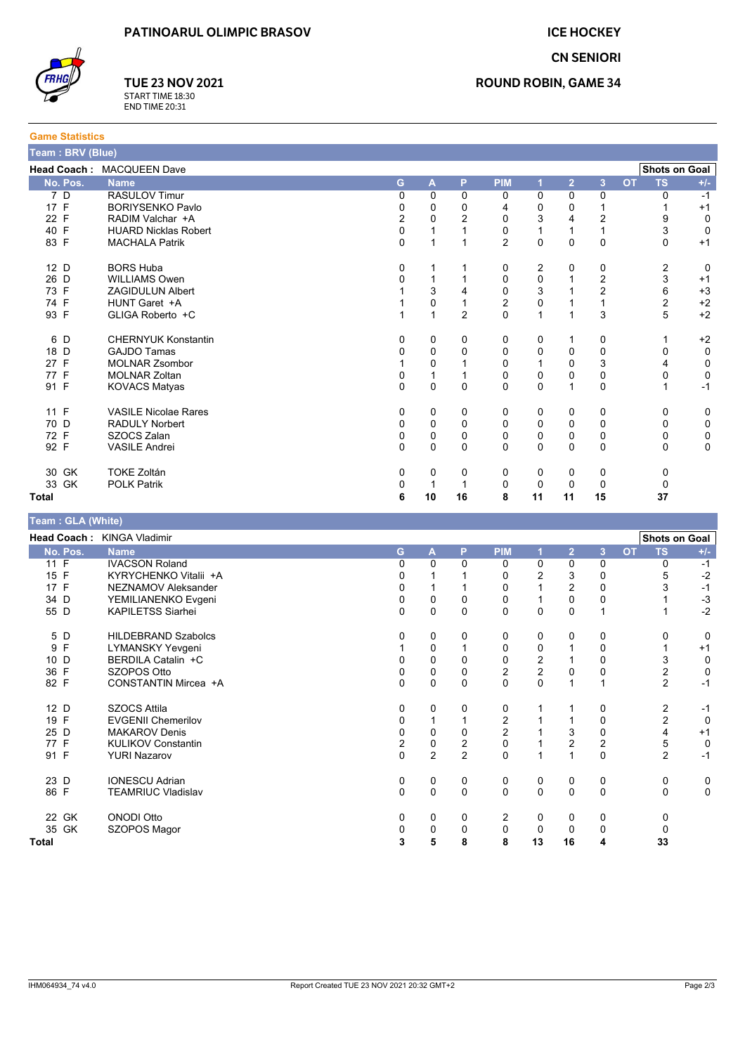**ICE HOCKEY CN SENIORI** 



**Game Statistics** 

**TUE 23 NOV 2021** START TIME 18:30<br>END TIME 20:31

| Team: BRV (Blue) |                             |          |              |                |                |              |                |                  |           |                      |             |
|------------------|-----------------------------|----------|--------------|----------------|----------------|--------------|----------------|------------------|-----------|----------------------|-------------|
|                  | Head Coach: MACQUEEN Dave   |          |              |                |                |              |                |                  |           | <b>Shots on Goal</b> |             |
| No. Pos.         | <b>Name</b>                 | G        | A            | P              | <b>PIM</b>     | 1            | $\overline{2}$ | $\overline{3}$   | <b>OT</b> | <b>TS</b>            | $+/-$       |
| 7D               | <b>RASULOV Timur</b>        | 0        | 0            | $\Omega$       | 0              | 0            | 0              | 0                |           | $\Omega$             | $-1$        |
| 17 F             | <b>BORIYSENKO Pavlo</b>     | 0        | 0            | 0              | 4              | 0            | 0              |                  |           |                      | $+1$        |
| 22 F             | RADIM Valchar +A            | 2        | $\Omega$     | $\overline{2}$ | $\mathbf 0$    | 3            | 4              | 2                |           | 9                    | 0           |
| 40 F             | <b>HUARD Nicklas Robert</b> | 0        | 1            |                | 0              |              |                |                  |           | 3                    | 0           |
| 83 F             | <b>MACHALA Patrik</b>       | 0        |              |                | $\overline{2}$ | $\mathbf 0$  | 0              | $\pmb{0}$        |           | 0                    | $+1$        |
| 12 D             | <b>BORS Huba</b>            | 0        |              |                | 0              | 2            | 0              | 0                |           | $\overline{2}$       | $\Omega$    |
| 26 D             | <b>WILLIAMS Owen</b>        | 0        | 1            |                | 0              | 0            |                | $\boldsymbol{2}$ |           | $\mathsf 3$          | $+1$        |
| 73 F             | <b>ZAGIDULUN Albert</b>     |          | 3            |                | $\mathbf 0$    | 3            |                | 2                |           | 6                    | $+3$        |
| 74 F             | HUNT Garet +A               |          | 0            |                | $\overline{c}$ | 0            |                |                  |           | $\overline{2}$       | $+2$        |
| 93 F             | GLIGA Roberto +C            |          | 1            | $\overline{2}$ | $\Omega$       | $\mathbf{1}$ |                | 3                |           | 5                    | $+2$        |
| 6 D              | <b>CHERNYUK Konstantin</b>  | 0        | 0            | 0              | 0              | 0            |                | 0                |           |                      | $+2$        |
| 18 D             | <b>GAJDO Tamas</b>          | 0        | 0            | 0              | 0              | 0            | $\Omega$       | $\mathbf 0$      |           | 0                    | $\mathbf 0$ |
| 27 F             | <b>MOLNAR Zsombor</b>       |          | 0            |                | $\Omega$       |              | 0              | 3                |           | 4                    | 0           |
| 77 F             | <b>MOLNAR Zoltan</b>        | 0        | 1            |                | 0              | 0            | 0              | 0                |           | 0                    | 0           |
| 91 F             | <b>KOVACS Matyas</b>        | $\Omega$ | $\mathbf{0}$ | $\mathbf{0}$   | $\Omega$       | $\mathbf{0}$ | 1              | $\mathbf 0$      |           |                      | $-1$        |
| 11 F             | <b>VASILE Nicolae Rares</b> | 0        | 0            | 0              | 0              | 0            | 0              | 0                |           | 0                    | 0           |
| 70 D             | <b>RADULY Norbert</b>       | 0        | 0            | 0              | 0              | 0            | 0              | 0                |           | 0                    | 0           |
| 72 F             | SZOCS Zalan                 | 0        | 0            | 0              | 0              | 0            | 0              | 0                |           | 0                    | 0           |
| 92 F             | <b>VASILE Andrei</b>        | $\Omega$ | $\Omega$     | $\Omega$       | $\Omega$       | $\mathbf{0}$ | $\Omega$       | $\Omega$         |           | $\Omega$             | $\Omega$    |
| 30 GK            | <b>TOKE Zoltán</b>          | 0        | 0            | 0              | 0              | 0            | 0              | 0                |           | 0                    |             |
| 33 GK            | <b>POLK Patrik</b>          | 0        |              |                | 0              | 0            | $\Omega$       | 0                |           | 0                    |             |
| <b>Total</b>     |                             | 6        | 10           | 16             | 8              | 11           | 11             | 15               |           | 37                   |             |

| Team : GLA (White) |                            |              |                |                  |                |                         |                         |                         |           |                      |             |
|--------------------|----------------------------|--------------|----------------|------------------|----------------|-------------------------|-------------------------|-------------------------|-----------|----------------------|-------------|
|                    | Head Coach: KINGA Vladimir |              |                |                  |                |                         |                         |                         |           | <b>Shots on Goal</b> |             |
| No. Pos.           | <b>Name</b>                | G            | $\mathbf{A}$   | P                | <b>PIM</b>     |                         | $\overline{2}$          | 3                       | <b>OT</b> | <b>TS</b>            | $+/-$       |
| 11 F               | <b>IVACSON Roland</b>      | $\Omega$     | 0              | $\Omega$         | 0              | 0                       | 0                       | 0                       |           | 0                    | $-1$        |
| 15 F               | KYRYCHENKO Vitalii +A      | 0            |                |                  | 0              | 2                       | 3                       | 0                       |           | 5                    | $-2$        |
| 17 F               | NEZNAMOV Aleksander        | 0            |                |                  | $\mathbf{0}$   |                         | $\overline{2}$          | $\mathbf 0$             |           | 3                    | $-1$        |
| 34 D               | YEMILIANENKO Evgeni        | 0            | 0              | 0                | 0              |                         | 0                       | 0                       |           |                      | $-3$        |
| 55 D               | <b>KAPILETSS Siarhei</b>   | $\mathbf 0$  | 0              | $\Omega$         | 0              | 0                       | 0                       |                         |           |                      | $-2$        |
| 5 D                | <b>HILDEBRAND Szabolcs</b> | 0            | 0              | $\Omega$         | 0              | 0                       | 0                       | 0                       |           | 0                    | 0           |
| F<br>9             | <b>LYMANSKY Yevgeni</b>    |              | 0              |                  | 0              | 0                       |                         | 0                       |           |                      | $+1$        |
| 10 D               | BERDILA Catalin +C         |              | 0              | 0                | $\pmb{0}$      | $\overline{\mathbf{c}}$ |                         | 0                       |           | 3                    | 0           |
| 36 F               | SZOPOS Otto                | 0            | $\pmb{0}$      | 0                | $\overline{2}$ | $\overline{2}$          | 0                       | 0                       |           | 2                    | $\mathbf 0$ |
| 82 F               | CONSTANTIN Mircea +A       | $\mathbf 0$  | 0              | $\Omega$         | $\mathbf 0$    | 0                       | 1                       |                         |           | $\overline{2}$       | $-1$        |
| 12 D               | <b>SZOCS Attila</b>        | 0            | 0              | 0                | 0              |                         |                         | 0                       |           | 2                    | $-1$        |
| 19 F               | <b>EVGENII Chemerilov</b>  | 0            |                |                  | $\overline{2}$ |                         |                         | 0                       |           | $\overline{2}$       | $\mathbf 0$ |
| 25 D               | <b>MAKAROV Denis</b>       | 0            | 0              | 0                | $\overline{c}$ |                         | 3                       | 0                       |           | 4                    | $+1$        |
| 77 F               | <b>KULIKOV Constantin</b>  | 2            | $\mathbf 0$    | $\boldsymbol{2}$ | $\pmb{0}$      |                         | $\overline{\mathbf{c}}$ | $\overline{\mathbf{c}}$ |           | 5                    | $\mathbf 0$ |
| 91 F               | <b>YURI Nazarov</b>        | $\mathbf{0}$ | $\overline{2}$ | $\overline{2}$   | $\mathbf{0}$   |                         |                         | $\mathbf{0}$            |           | $\overline{2}$       | $-1$        |
| 23 D               | <b>IONESCU Adrian</b>      | 0            | 0              | 0                | 0              | 0                       | 0                       | 0                       |           | 0                    | 0           |
| 86 F               | <b>TEAMRIUC Vladislav</b>  | $\mathbf 0$  | 0              | $\Omega$         | $\mathbf 0$    | $\mathbf 0$             | $\Omega$                | $\mathbf 0$             |           | $\Omega$             | $\mathbf 0$ |
| 22 GK              | <b>ONODI Otto</b>          | 0            | 0              | 0                | 2              | 0                       | 0                       | 0                       |           | 0                    |             |
| 35 GK              | SZOPOS Magor               | 0            | 0              | 0                | 0              | 0                       | 0                       | 0                       |           | 0                    |             |
| <b>Total</b>       |                            | 3            | 5              | 8                | 8              | 13                      | 16                      | 4                       |           | 33                   |             |